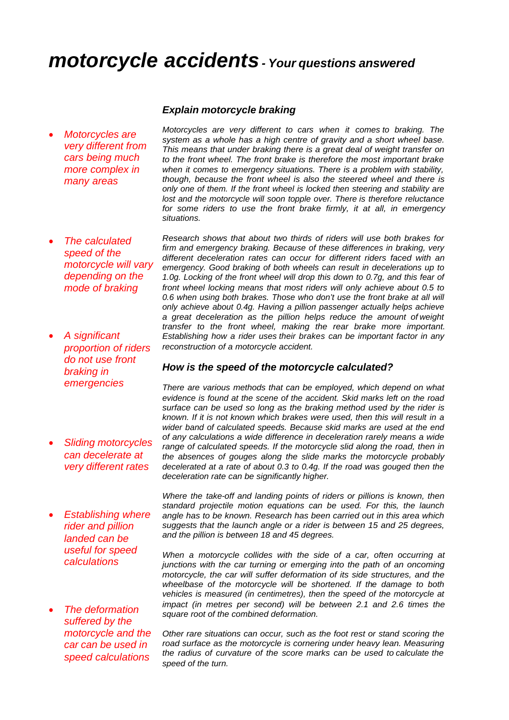# *motorcycle accidents- Your questions answered*

· *Motorcycles are very different from cars being much more complex in many areas*

#### *Explain motorcycle braking*

*Motorcycles are very different to cars when it comes to braking. The system as a whole has a high centre of gravity and a short wheel base. This means that under braking there is a great deal of weight transfer on to the front wheel. The front brake is therefore the most important brake when it comes to emergency situations. There is a problem with stability, though, because the front wheel is also the steered wheel and there is only one of them. If the front wheel is locked then steering and stability are lost and the motorcycle will soon topple over. There is therefore reluctance for some riders to use the front brake firmly, it at all, in emergency situations.*

· *The calculated speed of the motorcycle will vary depending on the mode of braking* · *A significant proportion of riders Research shows that about two thirds of riders will use both brakes for firm and emergency braking. Because of these differences in braking, very different deceleration rates can occur for different riders faced with an emergency. Good braking of both wheels can result in decelerations up to 1.0g. Locking of the front wheel will drop this down to 0.7g, and this fear of front wheel locking means that most riders will only achieve about 0.5 to 0.6 when using both brakes. Those who don't use the front brake at all will only achieve about 0.4g. Having a pillion passenger actually helps achieve a great deceleration as the pillion helps reduce the amount of weight transfer to the front wheel, making the rear brake more important. Establishing how a rider uses their brakes can be important factor in any reconstruction of a motorcycle accident.*

#### *How is the speed of the motorcycle calculated?*

*There are various methods that can be employed, which depend on what evidence is found at the scene of the accident. Skid marks left on the road surface can be used so long as the braking method used by the rider is known. If it is not known which brakes were used, then this will result in a wider band of calculated speeds. Because skid marks are used at the end of any calculations a wide difference in deceleration rarely means a wide range of calculated speeds. If the motorcycle slid along the road, then in the absences of gouges along the slide marks the motorcycle probably decelerated at a rate of about 0.3 to 0.4g. If the road was gouged then the deceleration rate can be significantly higher.*

**Establishing where** *rider and pillion landed can be useful for speed calculations*

*do not use front* 

· *Sliding motorcycles can decelerate at very different rates*

*braking in emergencies*

· *The deformation suffered by the motorcycle and the car can be used in speed calculations*

*Where the take-off and landing points of riders or pillions is known, then standard projectile motion equations can be used. For this, the launch angle has to be known. Research has been carried out in this area which suggests that the launch angle or a rider is between 15 and 25 degrees, and the pillion is between 18 and 45 degrees.*

*When a motorcycle collides with the side of a car, often occurring at junctions with the car turning or emerging into the path of an oncoming motorcycle, the car will suffer deformation of its side structures, and the wheelbase of the motorcycle will be shortened. If the damage to both vehicles is measured (in centimetres), then the speed of the motorcycle at impact (in metres per second) will be between 2.1 and 2.6 times the square root of the combined deformation.*

*Other rare situations can occur, such as the foot rest or stand scoring the road surface as the motorcycle is cornering under heavy lean. Measuring the radius of curvature of the score marks can be used to calculate the speed of the turn.*